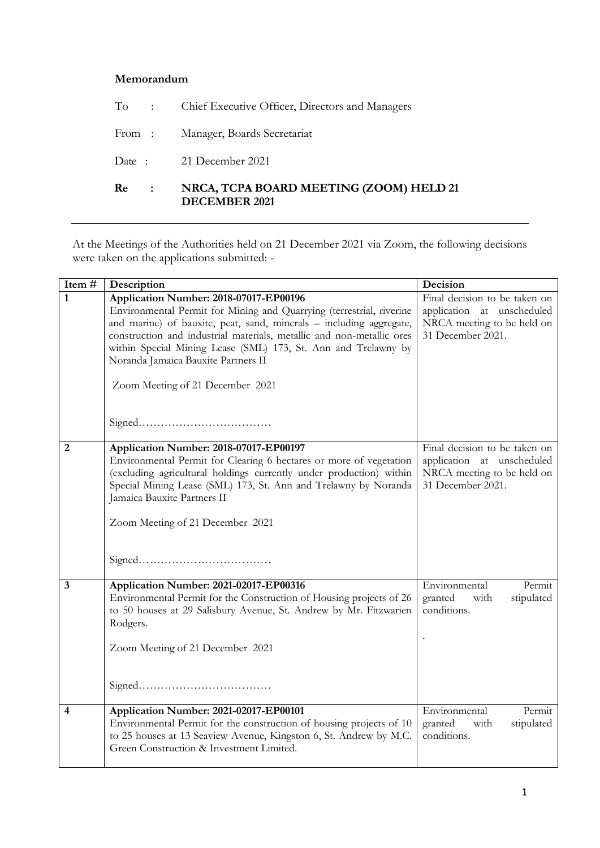## **Memorandum**

| Re<br>$\mathbf{L}$ | NRCA, TCPA BOARD MEETING (ZOOM) HELD 21<br><b>DECEMBER 2021</b> |
|--------------------|-----------------------------------------------------------------|
|                    | Date: 21 December 2021                                          |
|                    | From: Manager, Boards Secretariat                               |
|                    | To : Chief Executive Officer, Directors and Managers            |

At the Meetings of the Authorities held on 21 December 2021 via Zoom, the following decisions were taken on the applications submitted: -

| Item#                   | Description                                                                                                                                                                                                                                                                                                                                                                                                 | Decision                                                                                                       |
|-------------------------|-------------------------------------------------------------------------------------------------------------------------------------------------------------------------------------------------------------------------------------------------------------------------------------------------------------------------------------------------------------------------------------------------------------|----------------------------------------------------------------------------------------------------------------|
| $\mathbf{1}$            | Application Number: 2018-07017-EP00196<br>Environmental Permit for Mining and Quarrying (terrestrial, riverine<br>and marine) of bauxite, peat, sand, minerals - including aggregate,<br>construction and industrial materials, metallic and non-metallic ores<br>within Special Mining Lease (SML) 173, St. Ann and Trelawny by<br>Noranda Jamaica Bauxite Partners II<br>Zoom Meeting of 21 December 2021 | Final decision to be taken on<br>application at unscheduled<br>NRCA meeting to be held on<br>31 December 2021. |
| $\overline{2}$          | Application Number: 2018-07017-EP00197<br>Environmental Permit for Clearing 6 hectares or more of vegetation<br>(excluding agricultural holdings currently under production) within<br>Special Mining Lease (SML) 173, St. Ann and Trelawny by Noranda<br>Jamaica Bauxite Partners II<br>Zoom Meeting of 21 December 2021                                                                                   | Final decision to be taken on<br>application at unscheduled<br>NRCA meeting to be held on<br>31 December 2021. |
| $\overline{\mathbf{3}}$ | Application Number: 2021-02017-EP00316<br>Environmental Permit for the Construction of Housing projects of 26<br>to 50 houses at 29 Salisbury Avenue, St. Andrew by Mr. Fitzwarien<br>Rodgers.<br>Zoom Meeting of 21 December 2021                                                                                                                                                                          | Environmental<br>Permit<br>stipulated<br>granted<br>with<br>conditions.                                        |
| $\overline{\mathbf{4}}$ | Application Number: 2021-02017-EP00101<br>Environmental Permit for the construction of housing projects of 10<br>to 25 houses at 13 Seaview Avenue, Kingston 6, St. Andrew by M.C.<br>Green Construction & Investment Limited.                                                                                                                                                                              | Environmental<br>Permit<br>stipulated<br>granted<br>with<br>conditions.                                        |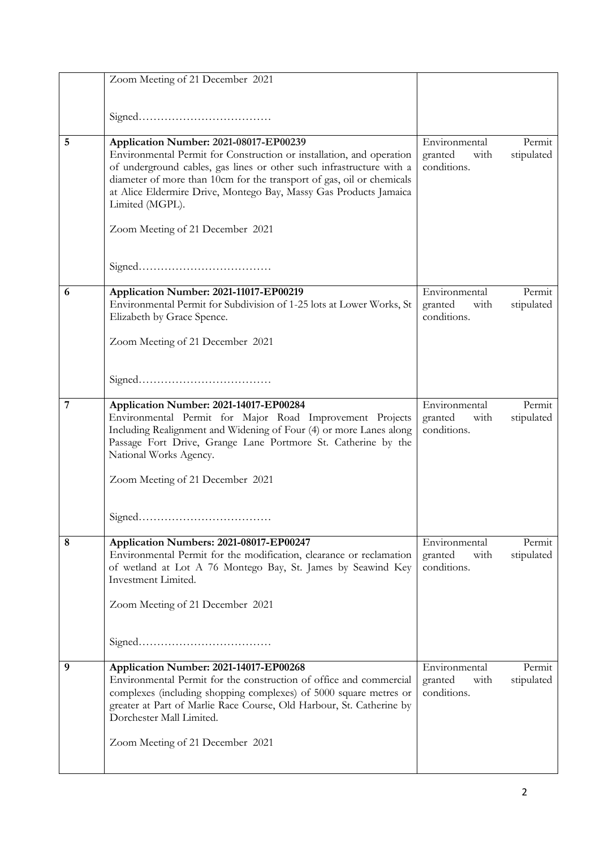|   | Zoom Meeting of 21 December 2021                                                                                                                                                                                                                                                                                                                        |                                                 |                      |
|---|---------------------------------------------------------------------------------------------------------------------------------------------------------------------------------------------------------------------------------------------------------------------------------------------------------------------------------------------------------|-------------------------------------------------|----------------------|
|   |                                                                                                                                                                                                                                                                                                                                                         |                                                 |                      |
|   |                                                                                                                                                                                                                                                                                                                                                         |                                                 |                      |
| 5 | Application Number: 2021-08017-EP00239<br>Environmental Permit for Construction or installation, and operation<br>of underground cables, gas lines or other such infrastructure with a<br>diameter of more than 10cm for the transport of gas, oil or chemicals<br>at Alice Eldermire Drive, Montego Bay, Massy Gas Products Jamaica<br>Limited (MGPL). | Environmental<br>granted<br>with<br>conditions. | Permit<br>stipulated |
|   | Zoom Meeting of 21 December 2021                                                                                                                                                                                                                                                                                                                        |                                                 |                      |
|   |                                                                                                                                                                                                                                                                                                                                                         |                                                 |                      |
| 6 | Application Number: 2021-11017-EP00219<br>Environmental Permit for Subdivision of 1-25 lots at Lower Works, St<br>Elizabeth by Grace Spence.<br>Zoom Meeting of 21 December 2021                                                                                                                                                                        | Environmental<br>granted<br>with<br>conditions. | Permit<br>stipulated |
|   |                                                                                                                                                                                                                                                                                                                                                         |                                                 |                      |
| 7 | Application Number: 2021-14017-EP00284<br>Environmental Permit for Major Road Improvement Projects<br>Including Realignment and Widening of Four (4) or more Lanes along<br>Passage Fort Drive, Grange Lane Portmore St. Catherine by the<br>National Works Agency.                                                                                     | Environmental<br>granted<br>with<br>conditions. | Permit<br>stipulated |
|   | Zoom Meeting of 21 December 2021                                                                                                                                                                                                                                                                                                                        |                                                 |                      |
|   |                                                                                                                                                                                                                                                                                                                                                         |                                                 |                      |
| 8 | Application Numbers: 2021-08017-EP00247<br>Environmental Permit for the modification, clearance or reclamation<br>of wetland at Lot A 76 Montego Bay, St. James by Seawind Key<br>Investment Limited.<br>Zoom Meeting of 21 December 2021                                                                                                               | Environmental<br>with<br>granted<br>conditions. | Permit<br>stipulated |
|   |                                                                                                                                                                                                                                                                                                                                                         |                                                 |                      |
| 9 | Application Number: 2021-14017-EP00268<br>Environmental Permit for the construction of office and commercial<br>complexes (including shopping complexes) of 5000 square metres or<br>greater at Part of Marlie Race Course, Old Harbour, St. Catherine by<br>Dorchester Mall Limited.                                                                   | Environmental<br>granted<br>with<br>conditions. | Permit<br>stipulated |
|   | Zoom Meeting of 21 December 2021                                                                                                                                                                                                                                                                                                                        |                                                 |                      |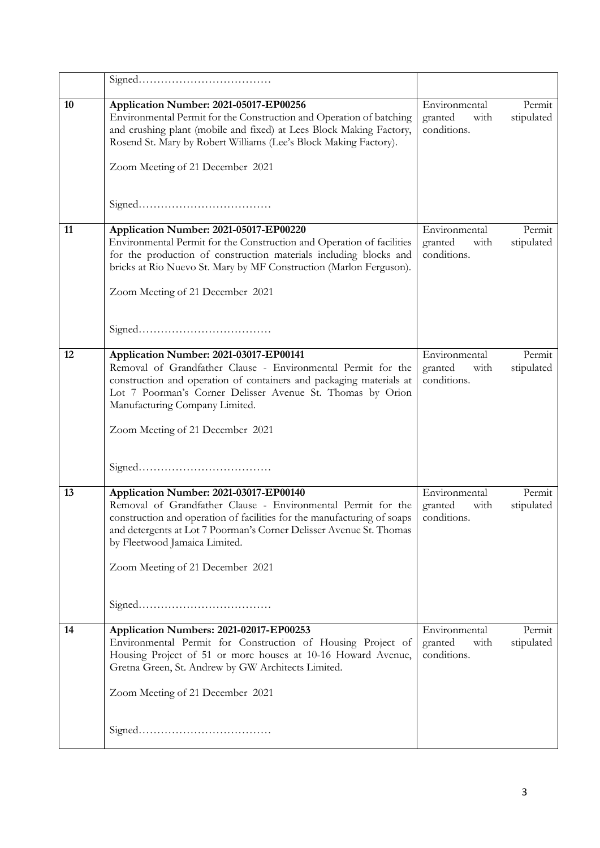| 10 | Application Number: 2021-05017-EP00256<br>Environmental Permit for the Construction and Operation of batching<br>and crushing plant (mobile and fixed) at Lees Block Making Factory,<br>Rosend St. Mary by Robert Williams (Lee's Block Making Factory).<br>Zoom Meeting of 21 December 2021                                  | Environmental<br>granted<br>with<br>conditions. | Permit<br>stipulated |
|----|-------------------------------------------------------------------------------------------------------------------------------------------------------------------------------------------------------------------------------------------------------------------------------------------------------------------------------|-------------------------------------------------|----------------------|
|    |                                                                                                                                                                                                                                                                                                                               |                                                 |                      |
| 11 | Application Number: 2021-05017-EP00220<br>Environmental Permit for the Construction and Operation of facilities<br>for the production of construction materials including blocks and<br>bricks at Rio Nuevo St. Mary by MF Construction (Marlon Ferguson).<br>Zoom Meeting of 21 December 2021                                | Environmental<br>granted<br>with<br>conditions. | Permit<br>stipulated |
|    |                                                                                                                                                                                                                                                                                                                               |                                                 |                      |
| 12 | Application Number: 2021-03017-EP00141<br>Removal of Grandfather Clause - Environmental Permit for the<br>construction and operation of containers and packaging materials at<br>Lot 7 Poorman's Corner Delisser Avenue St. Thomas by Orion<br>Manufacturing Company Limited.<br>Zoom Meeting of 21 December 2021             | Environmental<br>granted<br>with<br>conditions. | Permit<br>stipulated |
|    |                                                                                                                                                                                                                                                                                                                               |                                                 |                      |
| 13 | Application Number: 2021-03017-EP00140<br>Removal of Grandfather Clause - Environmental Permit for the<br>construction and operation of facilities for the manufacturing of soaps<br>and detergents at Lot 7 Poorman's Corner Delisser Avenue St. Thomas<br>by Fleetwood Jamaica Limited.<br>Zoom Meeting of 21 December 2021 | Environmental<br>granted<br>with<br>conditions. | Permit<br>stipulated |
| 14 | Application Numbers: 2021-02017-EP00253                                                                                                                                                                                                                                                                                       | Environmental                                   | Permit               |
|    | Environmental Permit for Construction of Housing Project of<br>Housing Project of 51 or more houses at 10-16 Howard Avenue,<br>Gretna Green, St. Andrew by GW Architects Limited.<br>Zoom Meeting of 21 December 2021                                                                                                         | granted<br>with<br>conditions.                  | stipulated           |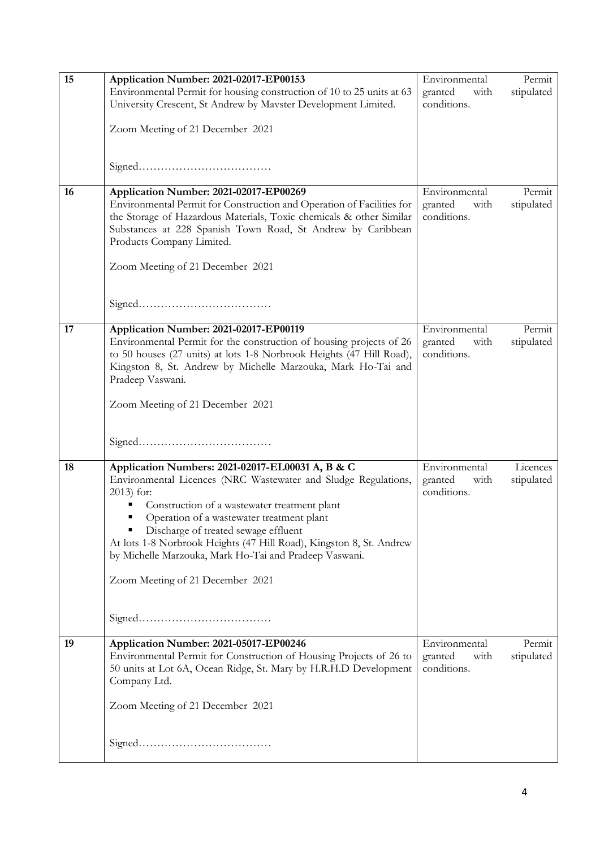| 15 | Application Number: 2021-02017-EP00153<br>Environmental Permit for housing construction of 10 to 25 units at 63<br>University Crescent, St Andrew by Mavster Development Limited.<br>Zoom Meeting of 21 December 2021                                                                                                                                                                                                                       | Environmental<br>with<br>granted<br>conditions. | Permit<br>stipulated   |
|----|---------------------------------------------------------------------------------------------------------------------------------------------------------------------------------------------------------------------------------------------------------------------------------------------------------------------------------------------------------------------------------------------------------------------------------------------|-------------------------------------------------|------------------------|
|    |                                                                                                                                                                                                                                                                                                                                                                                                                                             |                                                 |                        |
| 16 | Application Number: 2021-02017-EP00269<br>Environmental Permit for Construction and Operation of Facilities for<br>the Storage of Hazardous Materials, Toxic chemicals & other Similar<br>Substances at 228 Spanish Town Road, St Andrew by Caribbean<br>Products Company Limited.<br>Zoom Meeting of 21 December 2021                                                                                                                      | Environmental<br>with<br>granted<br>conditions. | Permit<br>stipulated   |
|    |                                                                                                                                                                                                                                                                                                                                                                                                                                             |                                                 |                        |
| 17 | Application Number: 2021-02017-EP00119<br>Environmental Permit for the construction of housing projects of 26<br>to 50 houses (27 units) at lots 1-8 Norbrook Heights (47 Hill Road),<br>Kingston 8, St. Andrew by Michelle Marzouka, Mark Ho-Tai and<br>Pradeep Vaswani.<br>Zoom Meeting of 21 December 2021                                                                                                                               | Environmental<br>granted<br>with<br>conditions. | Permit<br>stipulated   |
|    |                                                                                                                                                                                                                                                                                                                                                                                                                                             |                                                 |                        |
| 18 | Application Numbers: 2021-02017-EL00031 A, B & C<br>Environmental Licences (NRC Wastewater and Sludge Regulations,<br>$2013$ for:<br>Construction of a wastewater treatment plant<br>Operation of a wastewater treatment plant<br>Discharge of treated sewage effluent<br>At lots 1-8 Norbrook Heights (47 Hill Road), Kingston 8, St. Andrew<br>by Michelle Marzouka, Mark Ho-Tai and Pradeep Vaswani.<br>Zoom Meeting of 21 December 2021 | Environmental<br>granted<br>with<br>conditions. | Licences<br>stipulated |
|    |                                                                                                                                                                                                                                                                                                                                                                                                                                             |                                                 |                        |
| 19 | Application Number: 2021-05017-EP00246<br>Environmental Permit for Construction of Housing Projects of 26 to<br>50 units at Lot 6A, Ocean Ridge, St. Mary by H.R.H.D Development<br>Company Ltd.<br>Zoom Meeting of 21 December 2021                                                                                                                                                                                                        | Environmental<br>granted<br>with<br>conditions. | Permit<br>stipulated   |
|    |                                                                                                                                                                                                                                                                                                                                                                                                                                             |                                                 |                        |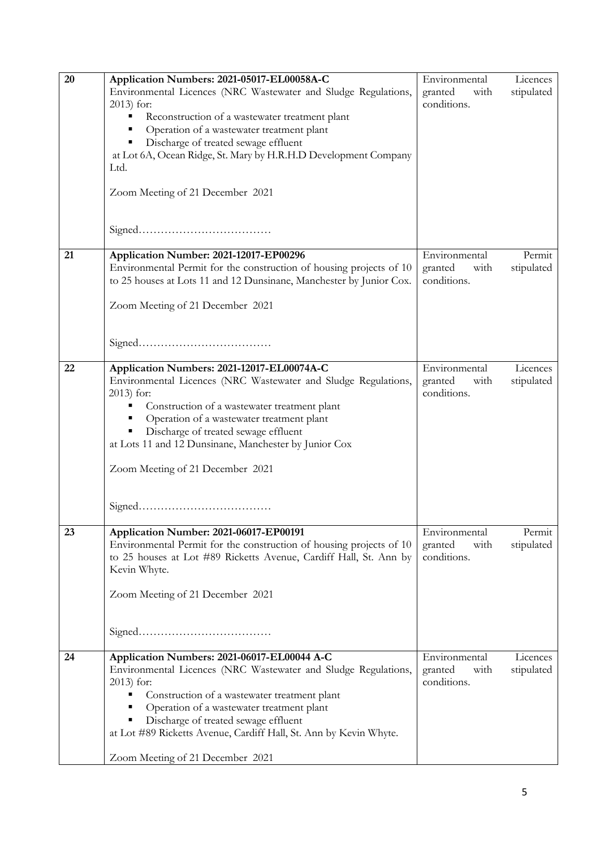| 20 | Application Numbers: 2021-05017-EL00058A-C<br>Environmental Licences (NRC Wastewater and Sludge Regulations,<br>2013) for:<br>Reconstruction of a wastewater treatment plant<br>п<br>Operation of a wastewater treatment plant<br>Ξ<br>Discharge of treated sewage effluent<br>٥<br>at Lot 6A, Ocean Ridge, St. Mary by H.R.H.D Development Company<br>Ltd.<br>Zoom Meeting of 21 December 2021 | Environmental<br>with<br>granted<br>conditions. | Licences<br>stipulated |
|----|-------------------------------------------------------------------------------------------------------------------------------------------------------------------------------------------------------------------------------------------------------------------------------------------------------------------------------------------------------------------------------------------------|-------------------------------------------------|------------------------|
| 21 | Application Number: 2021-12017-EP00296<br>Environmental Permit for the construction of housing projects of 10<br>to 25 houses at Lots 11 and 12 Dunsinane, Manchester by Junior Cox.<br>Zoom Meeting of 21 December 2021                                                                                                                                                                        | Environmental<br>granted<br>with<br>conditions. | Permit<br>stipulated   |
| 22 | Application Numbers: 2021-12017-EL00074A-C<br>Environmental Licences (NRC Wastewater and Sludge Regulations,<br>2013) for:<br>Construction of a wastewater treatment plant<br>п<br>Operation of a wastewater treatment plant<br>Ξ<br>Discharge of treated sewage effluent<br>Ξ<br>at Lots 11 and 12 Dunsinane, Manchester by Junior Cox<br>Zoom Meeting of 21 December 2021                     | Environmental<br>granted<br>with<br>conditions. | Licences<br>stipulated |
| 23 | Application Number: 2021-06017-EP00191<br>Environmental Permit for the construction of housing projects of 10<br>to 25 houses at Lot #89 Ricketts Avenue, Cardiff Hall, St. Ann by<br>Kevin Whyte.<br>Zoom Meeting of 21 December 2021                                                                                                                                                          | Environmental<br>granted<br>with<br>conditions. | Permit<br>stipulated   |
| 24 | Application Numbers: 2021-06017-EL00044 A-C<br>Environmental Licences (NRC Wastewater and Sludge Regulations,<br>$2013$ for:<br>Construction of a wastewater treatment plant<br>Operation of a wastewater treatment plant<br>Discharge of treated sewage effluent<br>at Lot #89 Ricketts Avenue, Cardiff Hall, St. Ann by Kevin Whyte.<br>Zoom Meeting of 21 December 2021                      | Environmental<br>granted<br>with<br>conditions. | Licences<br>stipulated |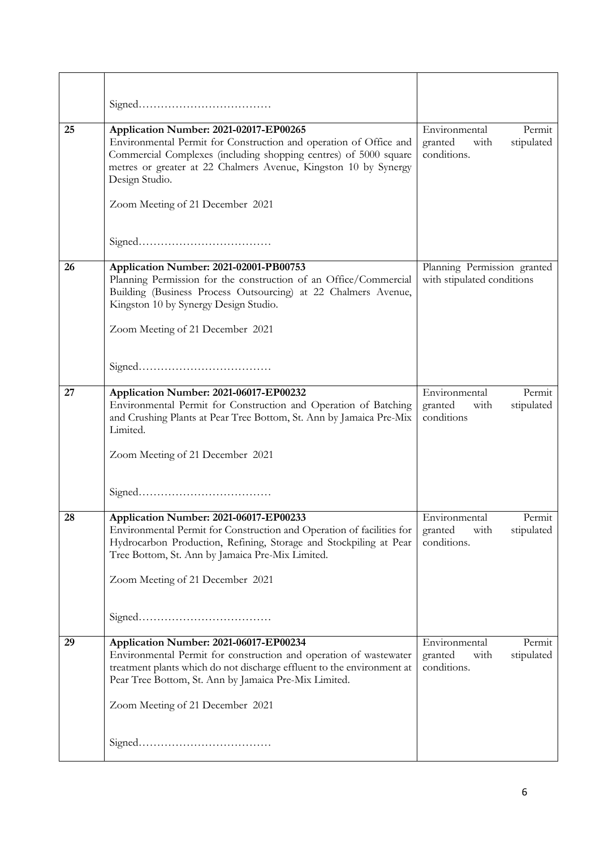| 25 | Application Number: 2021-02017-EP00265<br>Environmental Permit for Construction and operation of Office and<br>Commercial Complexes (including shopping centres) of 5000 square<br>metres or greater at 22 Chalmers Avenue, Kingston 10 by Synergy<br>Design Studio.<br>Zoom Meeting of 21 December 2021<br>${\bf Signed.}\label{eq:1} \vspace{-0.1cm}$ | Environmental<br>Permit<br>stipulated<br>granted<br>with<br>conditions. |
|----|---------------------------------------------------------------------------------------------------------------------------------------------------------------------------------------------------------------------------------------------------------------------------------------------------------------------------------------------------------|-------------------------------------------------------------------------|
| 26 |                                                                                                                                                                                                                                                                                                                                                         |                                                                         |
|    | Application Number: 2021-02001-PB00753<br>Planning Permission for the construction of an Office/Commercial<br>Building (Business Process Outsourcing) at 22 Chalmers Avenue,<br>Kingston 10 by Synergy Design Studio.<br>Zoom Meeting of 21 December 2021                                                                                               | Planning Permission granted<br>with stipulated conditions               |
|    |                                                                                                                                                                                                                                                                                                                                                         |                                                                         |
| 27 | Application Number: 2021-06017-EP00232<br>Environmental Permit for Construction and Operation of Batching<br>and Crushing Plants at Pear Tree Bottom, St. Ann by Jamaica Pre-Mix<br>Limited.<br>Zoom Meeting of 21 December 2021                                                                                                                        | Environmental<br>Permit<br>stipulated<br>granted<br>with<br>conditions  |
|    |                                                                                                                                                                                                                                                                                                                                                         |                                                                         |
| 28 | Application Number: 2021-06017-EP00233<br>Environmental Permit for Construction and Operation of facilities for<br>Hydrocarbon Production, Refining, Storage and Stockpiling at Pear<br>Tree Bottom, St. Ann by Jamaica Pre-Mix Limited.<br>Zoom Meeting of 21 December 2021                                                                            | Environmental<br>Permit<br>granted<br>with<br>stipulated<br>conditions. |
|    |                                                                                                                                                                                                                                                                                                                                                         |                                                                         |
| 29 | Application Number: 2021-06017-EP00234<br>Environmental Permit for construction and operation of wastewater<br>treatment plants which do not discharge effluent to the environment at<br>Pear Tree Bottom, St. Ann by Jamaica Pre-Mix Limited.<br>Zoom Meeting of 21 December 2021                                                                      | Environmental<br>Permit<br>stipulated<br>granted<br>with<br>conditions. |
|    | ${\bf Signal.}\label{prop:1}$                                                                                                                                                                                                                                                                                                                           |                                                                         |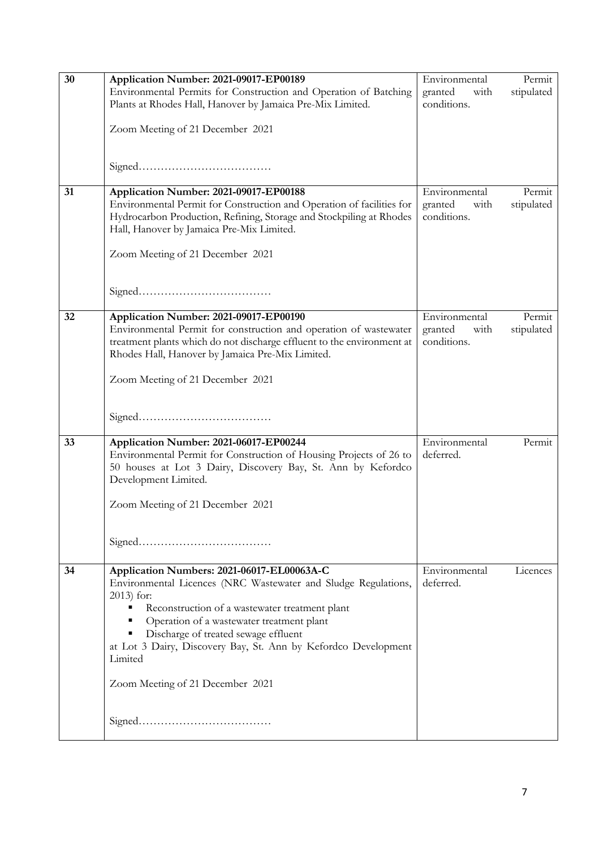| 30 | Application Number: 2021-09017-EP00189                                                                                                                                                                                                                                                                                                                                              | Environmental                  | Permit     |
|----|-------------------------------------------------------------------------------------------------------------------------------------------------------------------------------------------------------------------------------------------------------------------------------------------------------------------------------------------------------------------------------------|--------------------------------|------------|
|    | Environmental Permits for Construction and Operation of Batching                                                                                                                                                                                                                                                                                                                    | granted<br>with                | stipulated |
|    | Plants at Rhodes Hall, Hanover by Jamaica Pre-Mix Limited.                                                                                                                                                                                                                                                                                                                          | conditions.                    |            |
|    | Zoom Meeting of 21 December 2021                                                                                                                                                                                                                                                                                                                                                    |                                |            |
|    |                                                                                                                                                                                                                                                                                                                                                                                     |                                |            |
| 31 | Application Number: 2021-09017-EP00188                                                                                                                                                                                                                                                                                                                                              | Environmental                  | Permit     |
|    | Environmental Permit for Construction and Operation of facilities for<br>Hydrocarbon Production, Refining, Storage and Stockpiling at Rhodes<br>Hall, Hanover by Jamaica Pre-Mix Limited.                                                                                                                                                                                           | granted<br>with<br>conditions. | stipulated |
|    | Zoom Meeting of 21 December 2021                                                                                                                                                                                                                                                                                                                                                    |                                |            |
|    |                                                                                                                                                                                                                                                                                                                                                                                     |                                |            |
| 32 | Application Number: 2021-09017-EP00190                                                                                                                                                                                                                                                                                                                                              | Environmental                  | Permit     |
|    | Environmental Permit for construction and operation of wastewater<br>treatment plants which do not discharge effluent to the environment at<br>Rhodes Hall, Hanover by Jamaica Pre-Mix Limited.                                                                                                                                                                                     | granted<br>with<br>conditions. | stipulated |
|    | Zoom Meeting of 21 December 2021                                                                                                                                                                                                                                                                                                                                                    |                                |            |
|    |                                                                                                                                                                                                                                                                                                                                                                                     |                                |            |
| 33 | Application Number: 2021-06017-EP00244<br>Environmental Permit for Construction of Housing Projects of 26 to<br>50 houses at Lot 3 Dairy, Discovery Bay, St. Ann by Kefordco<br>Development Limited.                                                                                                                                                                                | Environmental<br>deferred.     | Permit     |
|    | Zoom Meeting of 21 December 2021                                                                                                                                                                                                                                                                                                                                                    |                                |            |
|    |                                                                                                                                                                                                                                                                                                                                                                                     |                                |            |
| 34 | Application Numbers: 2021-06017-EL00063A-C<br>Environmental Licences (NRC Wastewater and Sludge Regulations,<br>$2013$ for:<br>Reconstruction of a wastewater treatment plant<br>Operation of a wastewater treatment plant<br>Discharge of treated sewage effluent<br>at Lot 3 Dairy, Discovery Bay, St. Ann by Kefordco Development<br>Limited<br>Zoom Meeting of 21 December 2021 | Environmental<br>deferred.     | Licences   |
|    |                                                                                                                                                                                                                                                                                                                                                                                     |                                |            |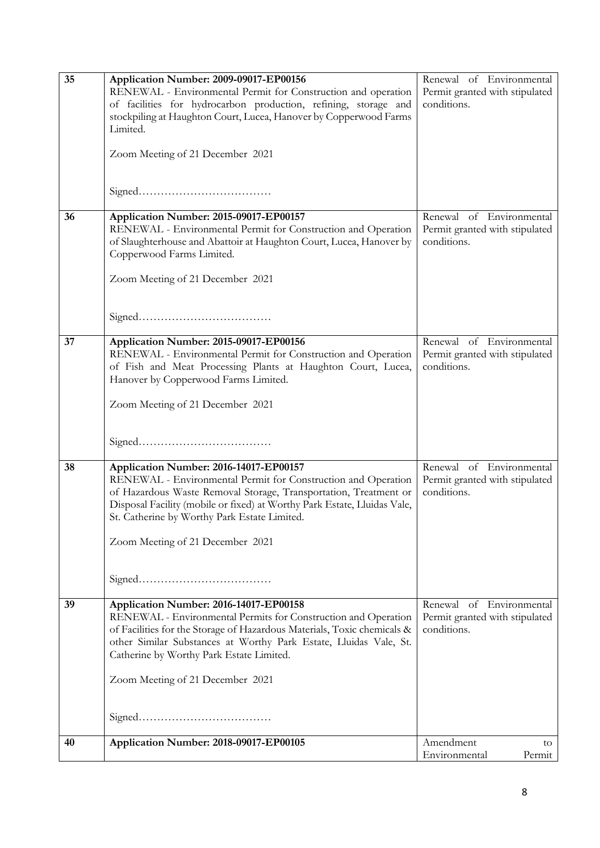| 35 | Application Number: 2009-09017-EP00156                                   | Renewal of Environmental       |
|----|--------------------------------------------------------------------------|--------------------------------|
|    | RENEWAL - Environmental Permit for Construction and operation            | Permit granted with stipulated |
|    | of facilities for hydrocarbon production, refining, storage and          | conditions.                    |
|    | stockpiling at Haughton Court, Lucea, Hanover by Copperwood Farms        |                                |
|    | Limited.                                                                 |                                |
|    | Zoom Meeting of 21 December 2021                                         |                                |
|    |                                                                          |                                |
|    |                                                                          |                                |
|    |                                                                          |                                |
|    |                                                                          |                                |
| 36 | Application Number: 2015-09017-EP00157                                   | Renewal of Environmental       |
|    | RENEWAL - Environmental Permit for Construction and Operation            | Permit granted with stipulated |
|    | of Slaughterhouse and Abattoir at Haughton Court, Lucea, Hanover by      | conditions.                    |
|    | Copperwood Farms Limited.                                                |                                |
|    |                                                                          |                                |
|    | Zoom Meeting of 21 December 2021                                         |                                |
|    |                                                                          |                                |
|    |                                                                          |                                |
|    |                                                                          |                                |
| 37 | Application Number: 2015-09017-EP00156                                   | Renewal of Environmental       |
|    | RENEWAL - Environmental Permit for Construction and Operation            | Permit granted with stipulated |
|    | of Fish and Meat Processing Plants at Haughton Court, Lucea,             | conditions.                    |
|    | Hanover by Copperwood Farms Limited.                                     |                                |
|    |                                                                          |                                |
|    | Zoom Meeting of 21 December 2021                                         |                                |
|    |                                                                          |                                |
|    |                                                                          |                                |
|    |                                                                          |                                |
| 38 | Application Number: 2016-14017-EP00157                                   | Renewal of Environmental       |
|    | RENEWAL - Environmental Permit for Construction and Operation            | Permit granted with stipulated |
|    | of Hazardous Waste Removal Storage, Transportation, Treatment or         | conditions.                    |
|    | Disposal Facility (mobile or fixed) at Worthy Park Estate, Lluidas Vale, |                                |
|    | St. Catherine by Worthy Park Estate Limited.                             |                                |
|    |                                                                          |                                |
|    | Zoom Meeting of 21 December 2021                                         |                                |
|    |                                                                          |                                |
|    |                                                                          |                                |
|    |                                                                          |                                |
| 39 | Application Number: 2016-14017-EP00158                                   | Renewal of Environmental       |
|    | RENEWAL - Environmental Permits for Construction and Operation           | Permit granted with stipulated |
|    | of Facilities for the Storage of Hazardous Materials, Toxic chemicals &  | conditions.                    |
|    | other Similar Substances at Worthy Park Estate, Lluidas Vale, St.        |                                |
|    | Catherine by Worthy Park Estate Limited.                                 |                                |
|    |                                                                          |                                |
|    | Zoom Meeting of 21 December 2021                                         |                                |
|    |                                                                          |                                |
|    |                                                                          |                                |
|    |                                                                          |                                |
|    |                                                                          | Amendment                      |
| 40 | Application Number: 2018-09017-EP00105                                   | to<br>Environmental<br>Permit  |
|    |                                                                          |                                |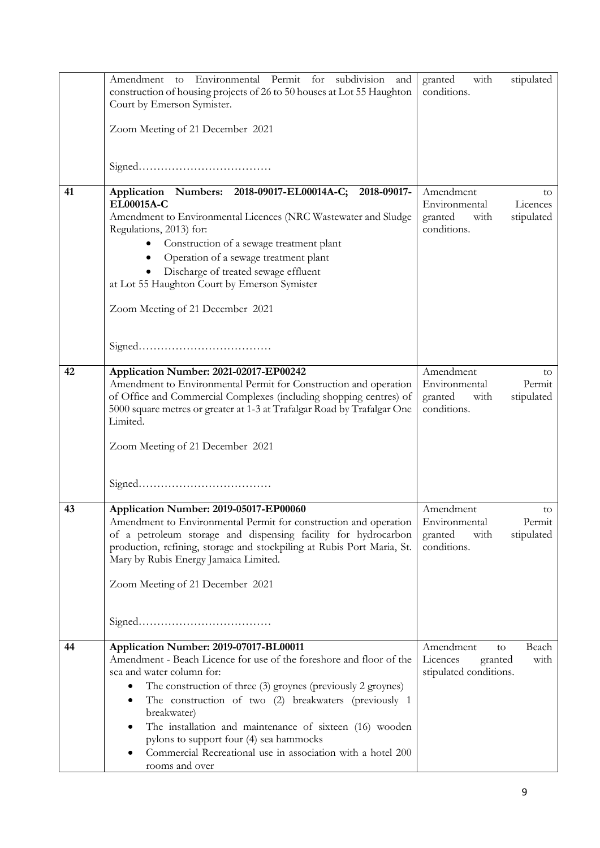|    | Amendment to Environmental Permit for subdivision and<br>construction of housing projects of 26 to 50 houses at Lot 55 Haughton<br>Court by Emerson Symister.<br>Zoom Meeting of 21 December 2021                                                                                                                                                                                                                                                                         | with<br>stipulated<br>granted<br>conditions.                                                 |
|----|---------------------------------------------------------------------------------------------------------------------------------------------------------------------------------------------------------------------------------------------------------------------------------------------------------------------------------------------------------------------------------------------------------------------------------------------------------------------------|----------------------------------------------------------------------------------------------|
|    |                                                                                                                                                                                                                                                                                                                                                                                                                                                                           |                                                                                              |
| 41 | Application Numbers: 2018-09017-EL00014A-C;<br>2018-09017-<br>EL00015A-C<br>Amendment to Environmental Licences (NRC Wastewater and Sludge<br>Regulations, 2013) for:<br>Construction of a sewage treatment plant<br>Operation of a sewage treatment plant<br>Discharge of treated sewage effluent<br>at Lot 55 Haughton Court by Emerson Symister<br>Zoom Meeting of 21 December 2021                                                                                    | Amendment<br>to<br>Environmental<br>Licences<br>granted<br>stipulated<br>with<br>conditions. |
| 42 | Application Number: 2021-02017-EP00242<br>Amendment to Environmental Permit for Construction and operation<br>of Office and Commercial Complexes (including shopping centres) of<br>5000 square metres or greater at 1-3 at Trafalgar Road by Trafalgar One<br>Limited.<br>Zoom Meeting of 21 December 2021                                                                                                                                                               | Amendment<br>to<br>Environmental<br>Permit<br>granted<br>stipulated<br>with<br>conditions.   |
| 43 | Application Number: 2019-05017-EP00060<br>Amendment to Environmental Permit for construction and operation  <br>of a petroleum storage and dispensing facility for hydrocarbon<br>production, refining, storage and stockpiling at Rubis Port Maria, St.<br>Mary by Rubis Energy Jamaica Limited.<br>Zoom Meeting of 21 December 2021                                                                                                                                     | Amendment<br>to<br>Environmental<br>Permit<br>with<br>granted<br>stipulated<br>conditions.   |
| 44 | Application Number: 2019-07017-BL00011<br>Amendment - Beach Licence for use of the foreshore and floor of the<br>sea and water column for:<br>The construction of three (3) groynes (previously 2 groynes)<br>The construction of two (2) breakwaters (previously 1<br>breakwater)<br>The installation and maintenance of sixteen (16) wooden<br>pylons to support four (4) sea hammocks<br>Commercial Recreational use in association with a hotel 200<br>rooms and over | Amendment<br>Beach<br>to<br>Licences<br>granted<br>with<br>stipulated conditions.            |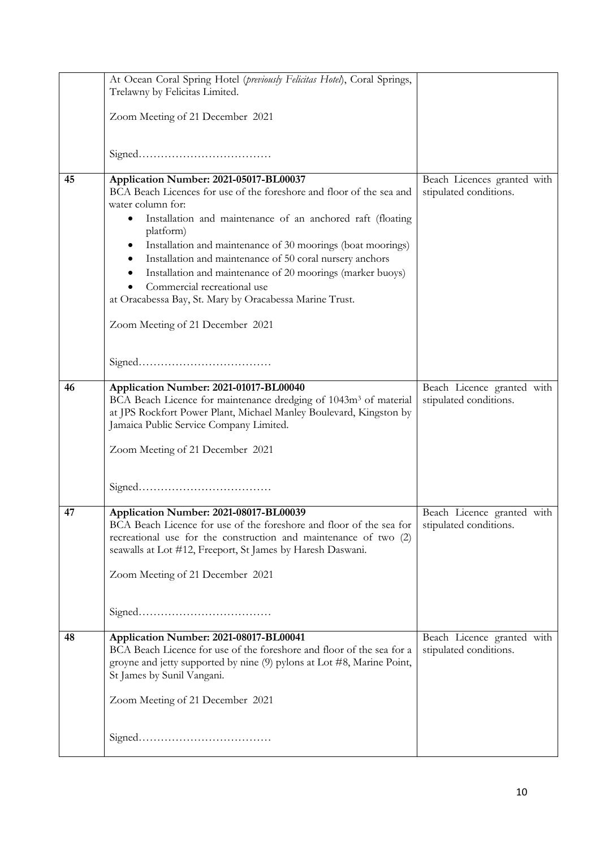|    | At Ocean Coral Spring Hotel (previously Felicitas Hotel), Coral Springs,<br>Trelawny by Felicitas Limited.                                                                                                                                                                                                                                                         |                                                      |
|----|--------------------------------------------------------------------------------------------------------------------------------------------------------------------------------------------------------------------------------------------------------------------------------------------------------------------------------------------------------------------|------------------------------------------------------|
|    | Zoom Meeting of 21 December 2021                                                                                                                                                                                                                                                                                                                                   |                                                      |
|    |                                                                                                                                                                                                                                                                                                                                                                    |                                                      |
| 45 | Application Number: 2021-05017-BL00037                                                                                                                                                                                                                                                                                                                             | Beach Licences granted with                          |
|    | BCA Beach Licences for use of the foreshore and floor of the sea and<br>water column for:<br>Installation and maintenance of an anchored raft (floating<br>platform)<br>Installation and maintenance of 30 moorings (boat moorings)<br>Installation and maintenance of 50 coral nursery anchors<br>Installation and maintenance of 20 moorings (marker buoys)<br>٠ | stipulated conditions.                               |
|    | Commercial recreational use<br>at Oracabessa Bay, St. Mary by Oracabessa Marine Trust.                                                                                                                                                                                                                                                                             |                                                      |
|    | Zoom Meeting of 21 December 2021                                                                                                                                                                                                                                                                                                                                   |                                                      |
|    |                                                                                                                                                                                                                                                                                                                                                                    |                                                      |
| 46 | Application Number: 2021-01017-BL00040<br>BCA Beach Licence for maintenance dredging of 1043m <sup>3</sup> of material<br>at JPS Rockfort Power Plant, Michael Manley Boulevard, Kingston by<br>Jamaica Public Service Company Limited.<br>Zoom Meeting of 21 December 2021                                                                                        | Beach Licence granted with<br>stipulated conditions. |
|    |                                                                                                                                                                                                                                                                                                                                                                    |                                                      |
| 47 | Application Number: 2021-08017-BL00039<br>BCA Beach Licence for use of the foreshore and floor of the sea for<br>recreational use for the construction and maintenance of two (2)<br>seawalls at Lot #12, Freeport, St James by Haresh Daswani.<br>Zoom Meeting of 21 December 2021                                                                                | Beach Licence granted with<br>stipulated conditions. |
|    |                                                                                                                                                                                                                                                                                                                                                                    |                                                      |
| 48 | Application Number: 2021-08017-BL00041<br>BCA Beach Licence for use of the foreshore and floor of the sea for a<br>groyne and jetty supported by nine (9) pylons at Lot #8, Marine Point,<br>St James by Sunil Vangani.                                                                                                                                            | Beach Licence granted with<br>stipulated conditions. |
|    | Zoom Meeting of 21 December 2021                                                                                                                                                                                                                                                                                                                                   |                                                      |
|    |                                                                                                                                                                                                                                                                                                                                                                    |                                                      |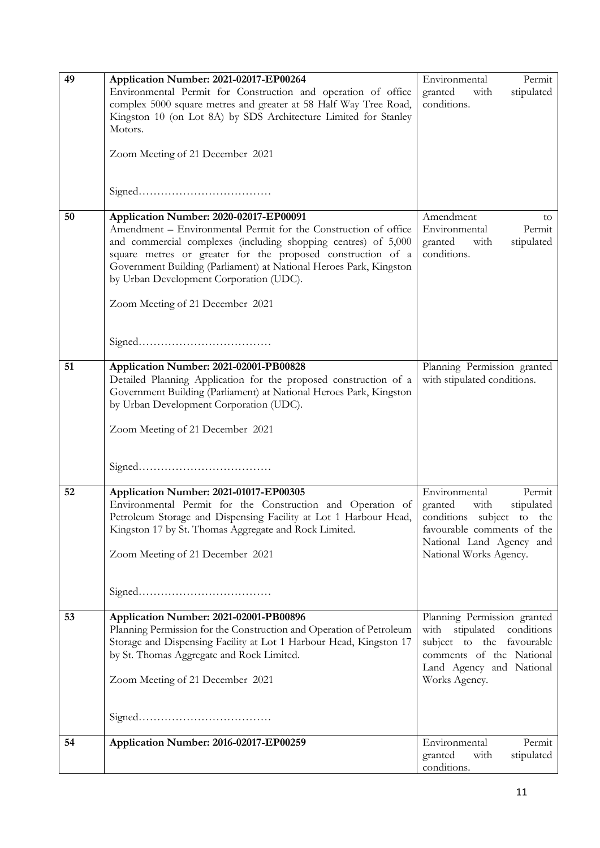| 49 | Application Number: 2021-02017-EP00264                                                                                            | Environmental<br>Permit                              |
|----|-----------------------------------------------------------------------------------------------------------------------------------|------------------------------------------------------|
|    | Environmental Permit for Construction and operation of office                                                                     | granted<br>with<br>stipulated                        |
|    | complex 5000 square metres and greater at 58 Half Way Tree Road,                                                                  | conditions.                                          |
|    | Kingston 10 (on Lot 8A) by SDS Architecture Limited for Stanley                                                                   |                                                      |
|    | Motors.                                                                                                                           |                                                      |
|    | Zoom Meeting of 21 December 2021                                                                                                  |                                                      |
|    |                                                                                                                                   |                                                      |
|    |                                                                                                                                   |                                                      |
|    |                                                                                                                                   |                                                      |
|    |                                                                                                                                   |                                                      |
| 50 | Application Number: 2020-02017-EP00091                                                                                            | Amendment<br>to                                      |
|    | Amendment – Environmental Permit for the Construction of office                                                                   | Environmental<br>Permit                              |
|    | and commercial complexes (including shopping centres) of 5,000                                                                    | granted<br>stipulated<br>with<br>conditions.         |
|    | square metres or greater for the proposed construction of a<br>Government Building (Parliament) at National Heroes Park, Kingston |                                                      |
|    | by Urban Development Corporation (UDC).                                                                                           |                                                      |
|    |                                                                                                                                   |                                                      |
|    | Zoom Meeting of 21 December 2021                                                                                                  |                                                      |
|    |                                                                                                                                   |                                                      |
|    |                                                                                                                                   |                                                      |
|    |                                                                                                                                   |                                                      |
| 51 | Application Number: 2021-02001-PB00828                                                                                            | Planning Permission granted                          |
|    | Detailed Planning Application for the proposed construction of a                                                                  | with stipulated conditions.                          |
|    | Government Building (Parliament) at National Heroes Park, Kingston                                                                |                                                      |
|    | by Urban Development Corporation (UDC).                                                                                           |                                                      |
|    |                                                                                                                                   |                                                      |
|    | Zoom Meeting of 21 December 2021                                                                                                  |                                                      |
|    |                                                                                                                                   |                                                      |
|    |                                                                                                                                   |                                                      |
|    |                                                                                                                                   |                                                      |
| 52 | Application Number: 2021-01017-EP00305                                                                                            | Environmental<br>Permit                              |
|    | Environmental Permit for the Construction and Operation of                                                                        | stipulated<br>granted<br>with                        |
|    | Petroleum Storage and Dispensing Facility at Lot 1 Harbour Head,                                                                  | conditions subject<br>to the                         |
|    | Kingston 17 by St. Thomas Aggregate and Rock Limited.                                                                             | favourable comments of the                           |
|    |                                                                                                                                   | National Land Agency and                             |
|    | Zoom Meeting of 21 December 2021                                                                                                  | National Works Agency.                               |
|    |                                                                                                                                   |                                                      |
|    |                                                                                                                                   |                                                      |
|    |                                                                                                                                   |                                                      |
| 53 | Application Number: 2021-02001-PB00896                                                                                            | Planning Permission granted                          |
|    | Planning Permission for the Construction and Operation of Petroleum                                                               | with stipulated conditions                           |
|    | Storage and Dispensing Facility at Lot 1 Harbour Head, Kingston 17                                                                | subject to the favourable                            |
|    | by St. Thomas Aggregate and Rock Limited.                                                                                         | comments of the National<br>Land Agency and National |
|    | Zoom Meeting of 21 December 2021                                                                                                  | Works Agency.                                        |
|    |                                                                                                                                   |                                                      |
|    |                                                                                                                                   |                                                      |
|    |                                                                                                                                   |                                                      |
|    |                                                                                                                                   |                                                      |
| 54 | Application Number: 2016-02017-EP00259                                                                                            | Environmental<br>Permit                              |
|    |                                                                                                                                   | granted<br>with<br>stipulated                        |
|    |                                                                                                                                   | conditions.                                          |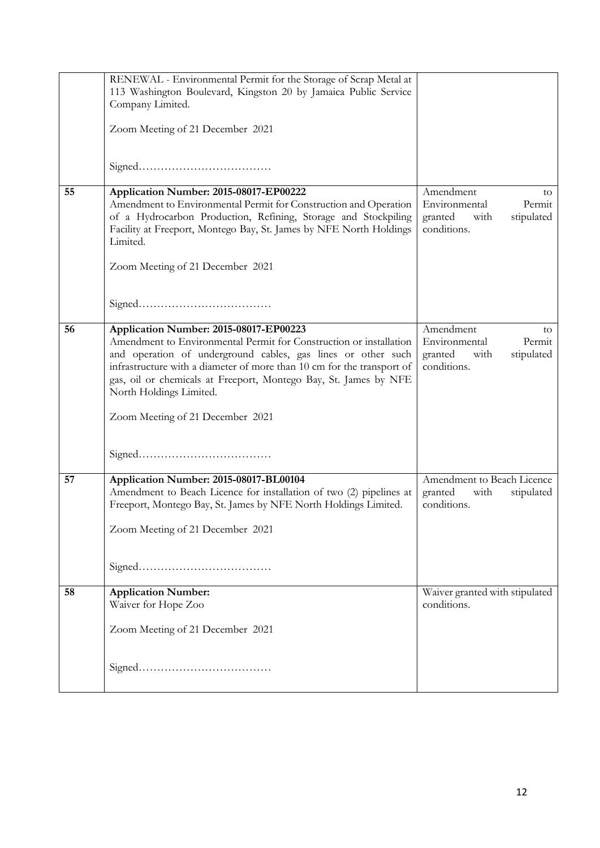|    | RENEWAL - Environmental Permit for the Storage of Scrap Metal at<br>113 Washington Boulevard, Kingston 20 by Jamaica Public Service<br>Company Limited.<br>Zoom Meeting of 21 December 2021                                                                                                                                                                                                                            |                                                                                            |
|----|------------------------------------------------------------------------------------------------------------------------------------------------------------------------------------------------------------------------------------------------------------------------------------------------------------------------------------------------------------------------------------------------------------------------|--------------------------------------------------------------------------------------------|
|    | ${\bf Signed.}\label{eq:1} \vspace{-0.1cm} \begin{minipage}[c]{0.9cm}{0.0cm} \begin{minipage}[c]{0.9cm}{0.0cm} \begin{minipage}[c]{0.9cm}{0.0cm} \begin{minipage}[c]{0.9cm}{0.0cm} \begin{minipage}[c]{0.9cm}{0.0cm} \end{minipage}[c]{0.0cm} \begin{minipage}[c]{0.9cm}{0.0cm} \begin{minipage}[c]{0.9cm}{0.0cm} \begin{minipage}[c]{0.9cm}{0.0cm} \end{minipage}[c]{0.0cm} \end{minipage} \end{minipage} \vspace{-0$ |                                                                                            |
| 55 | Application Number: 2015-08017-EP00222<br>Amendment to Environmental Permit for Construction and Operation<br>of a Hydrocarbon Production, Refining, Storage and Stockpiling<br>Facility at Freeport, Montego Bay, St. James by NFE North Holdings<br>Limited.                                                                                                                                                         | Amendment<br>to<br>Environmental<br>Permit<br>granted<br>stipulated<br>with<br>conditions. |
|    | Zoom Meeting of 21 December 2021                                                                                                                                                                                                                                                                                                                                                                                       |                                                                                            |
| 56 | Application Number: 2015-08017-EP00223<br>Amendment to Environmental Permit for Construction or installation<br>and operation of underground cables, gas lines or other such<br>infrastructure with a diameter of more than 10 cm for the transport of<br>gas, oil or chemicals at Freeport, Montego Bay, St. James by NFE<br>North Holdings Limited.<br>Zoom Meeting of 21 December 2021                              | Amendment<br>to<br>Environmental<br>Permit<br>granted<br>with<br>stipulated<br>conditions. |
|    |                                                                                                                                                                                                                                                                                                                                                                                                                        |                                                                                            |
| 57 | Application Number: 2015-08017-BL00104<br>Amendment to Beach Licence for installation of two (2) pipelines at<br>Freeport, Montego Bay, St. James by NFE North Holdings Limited.<br>Zoom Meeting of 21 December 2021                                                                                                                                                                                                   | Amendment to Beach Licence<br>granted<br>with<br>stipulated<br>conditions.                 |
|    |                                                                                                                                                                                                                                                                                                                                                                                                                        |                                                                                            |
| 58 | <b>Application Number:</b><br>Waiver for Hope Zoo<br>Zoom Meeting of 21 December 2021                                                                                                                                                                                                                                                                                                                                  | Waiver granted with stipulated<br>conditions.                                              |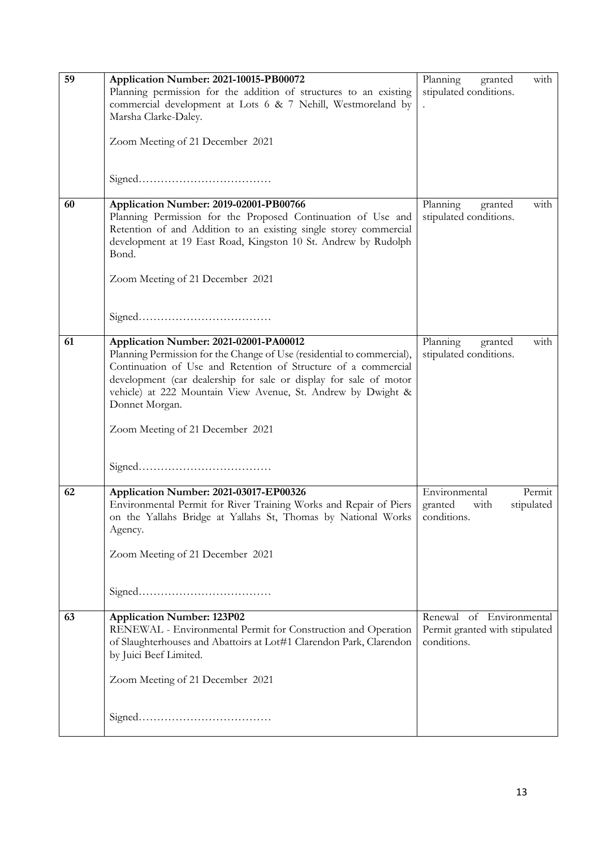| 59 | Application Number: 2021-10015-PB00072                                 | Planning<br>with<br>granted    |
|----|------------------------------------------------------------------------|--------------------------------|
|    | Planning permission for the addition of structures to an existing      | stipulated conditions.         |
|    | commercial development at Lots 6 & 7 Nehill, Westmoreland by           |                                |
|    | Marsha Clarke-Daley.                                                   |                                |
|    |                                                                        |                                |
|    | Zoom Meeting of 21 December 2021                                       |                                |
|    |                                                                        |                                |
|    |                                                                        |                                |
|    |                                                                        |                                |
|    |                                                                        |                                |
| 60 | Application Number: 2019-02001-PB00766                                 | Planning<br>granted<br>with    |
|    | Planning Permission for the Proposed Continuation of Use and           | stipulated conditions.         |
|    | Retention of and Addition to an existing single storey commercial      |                                |
|    | development at 19 East Road, Kingston 10 St. Andrew by Rudolph         |                                |
|    | Bond.                                                                  |                                |
|    |                                                                        |                                |
|    |                                                                        |                                |
|    | Zoom Meeting of 21 December 2021                                       |                                |
|    |                                                                        |                                |
|    |                                                                        |                                |
|    |                                                                        |                                |
|    |                                                                        |                                |
| 61 | Application Number: 2021-02001-PA00012                                 | Planning<br>with<br>granted    |
|    | Planning Permission for the Change of Use (residential to commercial), | stipulated conditions.         |
|    | Continuation of Use and Retention of Structure of a commercial         |                                |
|    | development (car dealership for sale or display for sale of motor      |                                |
|    | vehicle) at 222 Mountain View Avenue, St. Andrew by Dwight &           |                                |
|    | Donnet Morgan.                                                         |                                |
|    |                                                                        |                                |
|    | Zoom Meeting of 21 December 2021                                       |                                |
|    |                                                                        |                                |
|    |                                                                        |                                |
|    |                                                                        |                                |
|    |                                                                        |                                |
| 62 | Application Number: 2021-03017-EP00326                                 | Environmental<br>Permit        |
|    | Environmental Permit for River Training Works and Repair of Piers      | granted<br>with<br>stipulated  |
|    | on the Yallahs Bridge at Yallahs St, Thomas by National Works          | conditions.                    |
|    | Agency.                                                                |                                |
|    |                                                                        |                                |
|    | Zoom Meeting of 21 December 2021                                       |                                |
|    |                                                                        |                                |
|    |                                                                        |                                |
|    |                                                                        |                                |
|    |                                                                        |                                |
| 63 | <b>Application Number: 123P02</b>                                      | Renewal of Environmental       |
|    | RENEWAL - Environmental Permit for Construction and Operation          | Permit granted with stipulated |
|    | of Slaughterhouses and Abattoirs at Lot#1 Clarendon Park, Clarendon    | conditions.                    |
|    | by Juici Beef Limited.                                                 |                                |
|    |                                                                        |                                |
|    | Zoom Meeting of 21 December 2021                                       |                                |
|    |                                                                        |                                |
|    |                                                                        |                                |
|    |                                                                        |                                |
|    |                                                                        |                                |